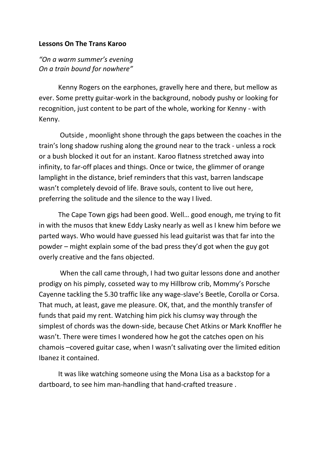## **Lessons On The Trans Karoo**

*"On a warm summer's evening On a train bound for nowhere"*

Kenny Rogers on the earphones, gravelly here and there, but mellow as ever. Some pretty guitar-work in the background, nobody pushy or looking for recognition, just content to be part of the whole, working for Kenny - with Kenny.

Outside , moonlight shone through the gaps between the coaches in the train's long shadow rushing along the ground near to the track - unless a rock or a bush blocked it out for an instant. Karoo flatness stretched away into infinity, to far-off places and things. Once or twice, the glimmer of orange lamplight in the distance, brief reminders that this vast, barren landscape wasn't completely devoid of life. Brave souls, content to live out here, preferring the solitude and the silence to the way I lived.

The Cape Town gigs had been good. Well… good enough, me trying to fit in with the musos that knew Eddy Lasky nearly as well as I knew him before we parted ways. Who would have guessed his lead guitarist was that far into the powder – might explain some of the bad press they'd got when the guy got overly creative and the fans objected.

When the call came through, I had two guitar lessons done and another prodigy on his pimply, cosseted way to my Hillbrow crib, Mommy's Porsche Cayenne tackling the 5.30 traffic like any wage-slave's Beetle, Corolla or Corsa. That much, at least, gave me pleasure. OK, that, and the monthly transfer of funds that paid my rent. Watching him pick his clumsy way through the simplest of chords was the down-side, because Chet Atkins or Mark Knoffler he wasn't. There were times I wondered how he got the catches open on his chamois –covered guitar case, when I wasn't salivating over the limited edition Ibanez it contained.

It was like watching someone using the Mona Lisa as a backstop for a dartboard, to see him man-handling that hand-crafted treasure .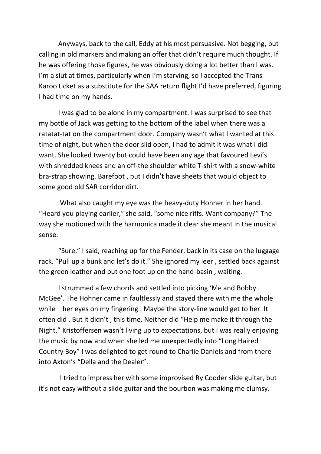Anyways, back to the call, Eddy at his most persuasive. Not begging, but calling in old markers and making an offer that didn't require much thought. If he was offering those figures, he was obviously doing a lot better than I was. I'm a slut at times, particularly when I'm starving, so I accepted the Trans Karoo ticket as a substitute for the SAA return flight I'd have preferred, figuring I had time on my hands.

I was glad to be alone in my compartment. I was surprised to see that my bottle of Jack was getting to the bottom of the label when there was a ratatat-tat on the compartment door. Company wasn't what I wanted at this time of night, but when the door slid open, I had to admit it was what I did want. She looked twenty but could have been any age that favoured Levi's with shredded knees and an off-the shoulder white T-shirt with a snow-white bra-strap showing. Barefoot , but I didn't have sheets that would object to some good old SAR corridor dirt.

What also caught my eye was the heavy-duty Hohner in her hand. "Heard you playing earlier," she said, "some nice riffs. Want company?" The way she motioned with the harmonica made it clear she meant in the musical sense.

"Sure," I said, reaching up for the Fender, back in its case on the luggage rack. "Pull up a bunk and let's do it." She ignored my leer , settled back against the green leather and put one foot up on the hand-basin , waiting.

I strummed a few chords and settled into picking 'Me and Bobby McGee'. The Hohner came in faultlessly and stayed there with me the whole while – her eyes on my fingering . Maybe the story-line would get to her. It often did . But it didn't , this time. Neither did "Help me make it through the Night." Kristoffersen wasn't living up to expectations, but I was really enjoying the music by now and when she led me unexpectedly into "Long Haired Country Boy" I was delighted to get round to Charlie Daniels and from there into Axton's "Della and the Dealer".

I tried to impress her with some improvised Ry Cooder slide guitar, but it's not easy without a slide guitar and the bourbon was making me clumsy.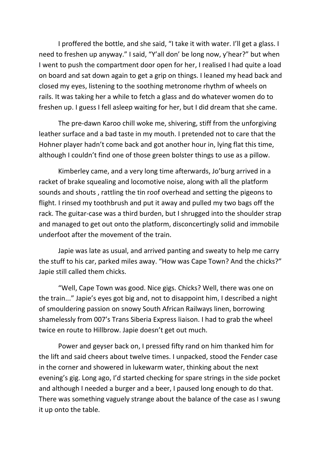I proffered the bottle, and she said, "I take it with water. I'll get a glass. I need to freshen up anyway." I said, "Y'all don' be long now, y'hear?" but when I went to push the compartment door open for her, I realised I had quite a load on board and sat down again to get a grip on things. I leaned my head back and closed my eyes, listening to the soothing metronome rhythm of wheels on rails. It was taking her a while to fetch a glass and do whatever women do to freshen up. I guess I fell asleep waiting for her, but I did dream that she came.

The pre-dawn Karoo chill woke me, shivering, stiff from the unforgiving leather surface and a bad taste in my mouth. I pretended not to care that the Hohner player hadn't come back and got another hour in, lying flat this time, although I couldn't find one of those green bolster things to use as a pillow.

Kimberley came, and a very long time afterwards, Jo'burg arrived in a racket of brake squealing and locomotive noise, along with all the platform sounds and shouts , rattling the tin roof overhead and setting the pigeons to flight. I rinsed my toothbrush and put it away and pulled my two bags off the rack. The guitar-case was a third burden, but I shrugged into the shoulder strap and managed to get out onto the platform, disconcertingly solid and immobile underfoot after the movement of the train.

Japie was late as usual, and arrived panting and sweaty to help me carry the stuff to his car, parked miles away. "How was Cape Town? And the chicks?" Japie still called them chicks.

"Well, Cape Town was good. Nice gigs. Chicks? Well, there was one on the train..." Japie's eyes got big and, not to disappoint him, I described a night of smouldering passion on snowy South African Railways linen, borrowing shamelessly from 007's Trans Siberia Express liaison. I had to grab the wheel twice en route to Hillbrow. Japie doesn't get out much.

Power and geyser back on, I pressed fifty rand on him thanked him for the lift and said cheers about twelve times. I unpacked, stood the Fender case in the corner and showered in lukewarm water, thinking about the next evening's gig. Long ago, I'd started checking for spare strings in the side pocket and although I needed a burger and a beer, I paused long enough to do that. There was something vaguely strange about the balance of the case as I swung it up onto the table.